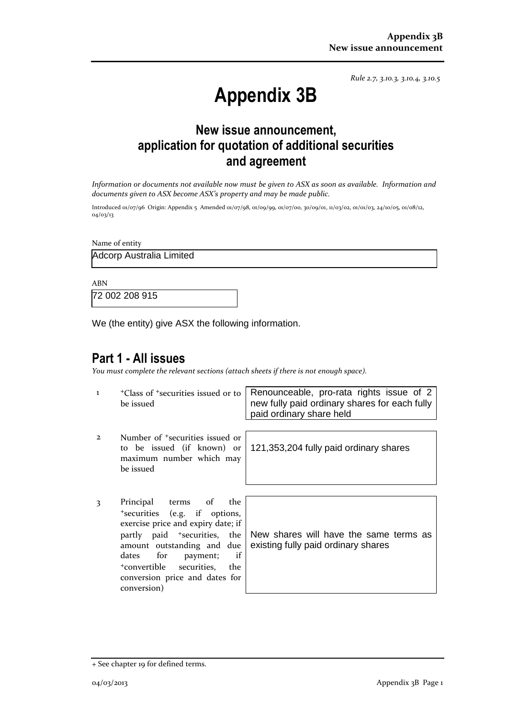*Rule 2.7, 3.10.3, 3.10.4, 3.10.5*

# **Appendix 3B**

## **New issue announcement, application for quotation of additional securities and agreement**

*Information or documents not available now must be given to ASX as soon as available. Information and documents given to ASX become ASX's property and may be made public.*

Introduced 01/07/96 Origin: Appendix 5 Amended 01/07/98, 01/09/99, 01/07/00, 30/09/01, 11/03/02, 01/01/03, 24/10/05, 01/08/12, 04/03/13

Name of entity

Adcorp Australia Limited

ABN

72 002 208 915

We (the entity) give ASX the following information.

#### **Part 1 - All issues**

*You must complete the relevant sections (attach sheets if there is not enough space).*

- 1 <sup>+</sup>Class of +securities issued or to be issued
- 2 Number of +securities issued or to be issued (if known) or maximum number which may be issued
- 3 Principal terms of the <sup>+</sup>securities (e.g. if options, exercise price and expiry date; if partly paid <sup>+</sup>securities, the amount outstanding and due dates for payment; if <sup>+</sup>convertible securities, the conversion price and dates for conversion)

Renounceable, pro-rata rights issue of 2 new fully paid ordinary shares for each fully paid ordinary share held

121,353,204 fully paid ordinary shares

New shares will have the same terms as existing fully paid ordinary shares

<sup>+</sup> See chapter 19 for defined terms.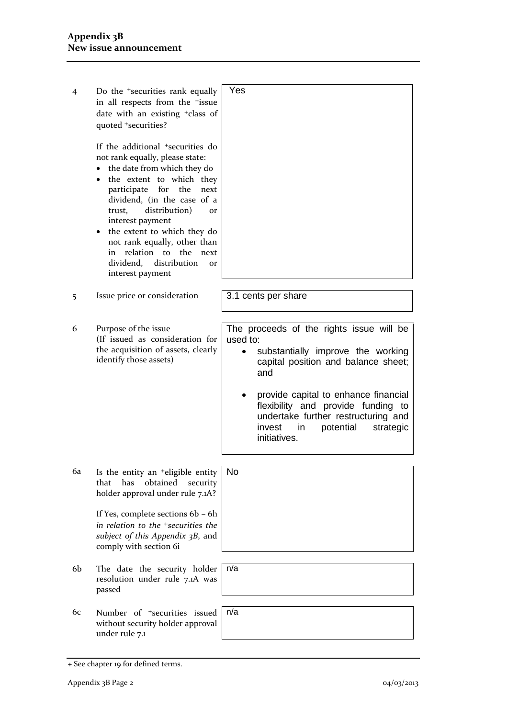| 4              | Do the <sup>+</sup> securities rank equally<br>in all respects from the +issue<br>date with an existing <sup>+</sup> class of<br>quoted +securities?                                                                                                                                                                                                                                                                                     | Yes                                                                                                                                                                                                                                                                                                                                  |
|----------------|------------------------------------------------------------------------------------------------------------------------------------------------------------------------------------------------------------------------------------------------------------------------------------------------------------------------------------------------------------------------------------------------------------------------------------------|--------------------------------------------------------------------------------------------------------------------------------------------------------------------------------------------------------------------------------------------------------------------------------------------------------------------------------------|
|                | If the additional <sup>+</sup> securities do<br>not rank equally, please state:<br>the date from which they do<br>the extent to which they<br>for the<br>participate<br>next<br>dividend, (in the case of a<br>distribution)<br>trust,<br><b>Or</b><br>interest payment<br>the extent to which they do<br>not rank equally, other than<br>relation to<br>the<br>in<br>next<br>dividend,<br>distribution<br><b>Or</b><br>interest payment |                                                                                                                                                                                                                                                                                                                                      |
| 5              | Issue price or consideration                                                                                                                                                                                                                                                                                                                                                                                                             | 3.1 cents per share                                                                                                                                                                                                                                                                                                                  |
| 6              | Purpose of the issue<br>(If issued as consideration for<br>the acquisition of assets, clearly<br>identify those assets)                                                                                                                                                                                                                                                                                                                  | The proceeds of the rights issue will be<br>used to:<br>substantially improve the working<br>$\bullet$<br>capital position and balance sheet;<br>and<br>provide capital to enhance financial<br>flexibility and provide funding to<br>undertake further restructuring and<br>potential<br>strategic<br>invest<br>in.<br>initiatives. |
| 6a             | Is the entity an <sup>+</sup> eligible entity<br>obtained<br>that<br>has<br>security<br>holder approval under rule 7.1A?<br>If Yes, complete sections 6b - 6h                                                                                                                                                                                                                                                                            | No                                                                                                                                                                                                                                                                                                                                   |
|                | in relation to the <sup>+</sup> securities the<br>subject of this Appendix 3B, and<br>comply with section 6i                                                                                                                                                                                                                                                                                                                             |                                                                                                                                                                                                                                                                                                                                      |
| 6 <sub>b</sub> | The date the security holder<br>resolution under rule 7.1A was<br>passed                                                                                                                                                                                                                                                                                                                                                                 | n/a                                                                                                                                                                                                                                                                                                                                  |
| 6с             | Number of <sup>+</sup> securities issued<br>without security holder approval<br>under rule 7.1                                                                                                                                                                                                                                                                                                                                           | n/a                                                                                                                                                                                                                                                                                                                                  |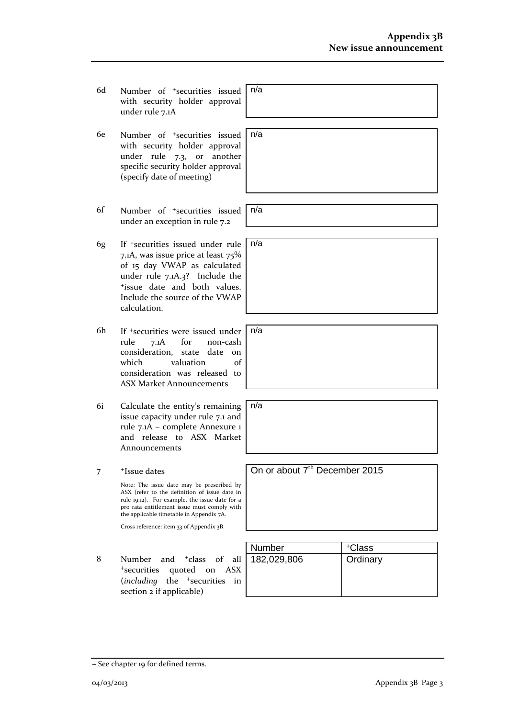- 6d Number of +securities issued with security holder approval under rule 7.1A
- 6e Number of +securities issued with security holder approval under rule 7.3, or another specific security holder approval (specify date of meeting)
- 6f Number of +securities issued under an exception in rule 7.2
- 6g If +securities issued under rule 7.1A, was issue price at least 75% of 15 day VWAP as calculated under rule 7.1A.3? Include the <sup>+</sup>issue date and both values. Include the source of the VWAP calculation.
- 6h If +securities were issued under rule 7.1A for non-cash consideration, state date on which valuation of consideration was released to ASX Market Announcements
- 6i Calculate the entity's remaining issue capacity under rule 7.1 and rule 7.1A – complete Annexure 1 and release to ASX Market Announcements
- 7 +Issue dates

Note: The issue date may be prescribed by ASX (refer to the definition of issue date in rule 19.12). For example, the issue date for a pro rata entitlement issue must comply with the applicable timetable in Appendix 7A.

Cross reference: item 33 of Appendix 3B.

8 Number and <sup>+</sup>class of all <sup>+</sup>securities quoted on ASX (*including* the <sup>+</sup>securities in section 2 if applicable)

| Number      | +Class   |
|-------------|----------|
| 182,029,806 | Ordinary |
|             |          |
|             |          |

n/a

n/a

n/a

n/a

n/a

n/a

On or about 7<sup>th</sup> December 2015

<sup>+</sup> See chapter 19 for defined terms.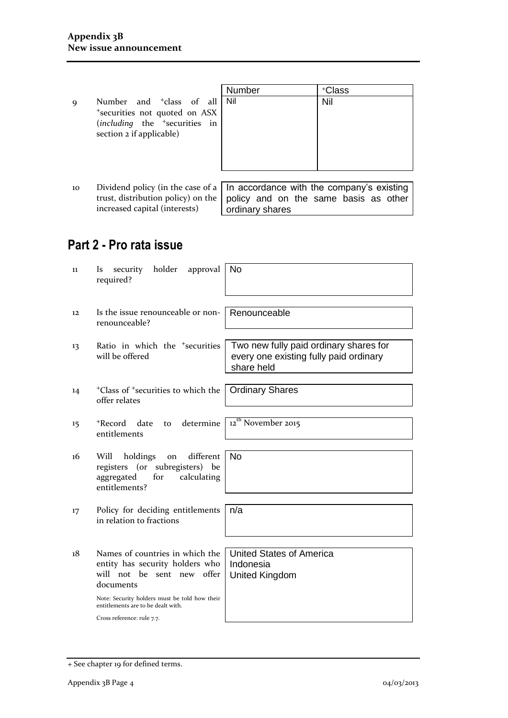9 Number and <sup>+</sup>class of all <sup>+</sup>securities not quoted on ASX (*including* the <sup>+</sup>securities in section 2 if applicable)

|   | Number | +Class |
|---|--------|--------|
| l | Nil    | Nil    |
| ζ |        |        |
| ı |        |        |
|   |        |        |
|   |        |        |
|   |        |        |
|   |        |        |

10 Dividend policy (in the case of a trust, distribution policy) on the increased capital (interests) In accordance with the company's existing policy and on the same basis as other ordinary shares

## **Part 2 - Pro rata issue**

| 11 | holder<br>approval<br>security<br>1s<br>required?                                                                                                                                                                                  | No                                                                                             |
|----|------------------------------------------------------------------------------------------------------------------------------------------------------------------------------------------------------------------------------------|------------------------------------------------------------------------------------------------|
| 12 | Is the issue renounceable or non-<br>renounceable?                                                                                                                                                                                 | Renounceable                                                                                   |
| 13 | Ratio in which the <sup>+</sup> securities<br>will be offered                                                                                                                                                                      | Two new fully paid ordinary shares for<br>every one existing fully paid ordinary<br>share held |
| 14 | <sup>+</sup> Class of <sup>+</sup> securities to which the<br>offer relates                                                                                                                                                        | <b>Ordinary Shares</b>                                                                         |
| 15 | +Record<br>determine<br>date<br>to<br>entitlements                                                                                                                                                                                 | $12^{th}$ November 2015                                                                        |
| 16 | different<br>holdings<br>Will<br>on<br>registers (or subregisters) be<br>for<br>aggregated<br>calculating<br>entitlements?                                                                                                         | <b>No</b>                                                                                      |
| 17 | Policy for deciding entitlements<br>in relation to fractions                                                                                                                                                                       | n/a                                                                                            |
| 18 | Names of countries in which the<br>entity has security holders who<br>will not be sent new offer<br>documents<br>Note: Security holders must be told how their<br>entitlements are to be dealt with.<br>Cross reference: rule 7.7. | <b>United States of America</b><br>Indonesia<br>United Kingdom                                 |

<sup>+</sup> See chapter 19 for defined terms.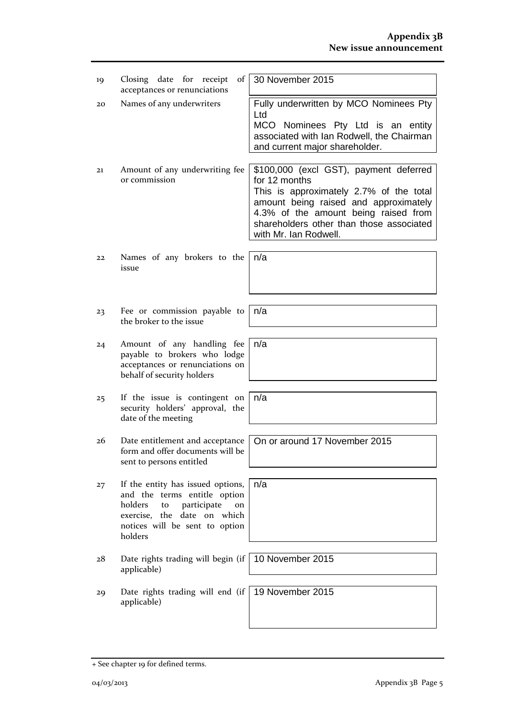| 19 | Closing date for receipt<br>of  <br>acceptances or renunciations                                                                                                                    | 30 November 2015                                                                                                                                                                                                                                         |
|----|-------------------------------------------------------------------------------------------------------------------------------------------------------------------------------------|----------------------------------------------------------------------------------------------------------------------------------------------------------------------------------------------------------------------------------------------------------|
| 20 | Names of any underwriters                                                                                                                                                           | Fully underwritten by MCO Nominees Pty<br>Ltd<br>MCO Nominees Pty Ltd is an entity<br>associated with Ian Rodwell, the Chairman<br>and current major shareholder.                                                                                        |
| 21 | Amount of any underwriting fee<br>or commission                                                                                                                                     | \$100,000 (excl GST), payment deferred<br>for 12 months<br>This is approximately 2.7% of the total<br>amount being raised and approximately<br>4.3% of the amount being raised from<br>shareholders other than those associated<br>with Mr. Ian Rodwell. |
| 22 | Names of any brokers to the<br>issue                                                                                                                                                | n/a                                                                                                                                                                                                                                                      |
| 23 | Fee or commission payable to<br>the broker to the issue                                                                                                                             | n/a                                                                                                                                                                                                                                                      |
| 24 | Amount of any handling fee<br>payable to brokers who lodge<br>acceptances or renunciations on<br>behalf of security holders                                                         | n/a                                                                                                                                                                                                                                                      |
| 25 | If the issue is contingent on<br>security holders' approval, the<br>date of the meeting                                                                                             | n/a                                                                                                                                                                                                                                                      |
| 26 | Date entitlement and acceptance<br>form and offer documents will be<br>sent to persons entitled                                                                                     | On or around 17 November 2015                                                                                                                                                                                                                            |
| 27 | If the entity has issued options,<br>and the terms entitle option<br>holders<br>participate<br>to<br>on<br>exercise, the date on which<br>notices will be sent to option<br>holders | n/a                                                                                                                                                                                                                                                      |
| 28 | Date rights trading will begin (if<br>applicable)                                                                                                                                   | 10 November 2015                                                                                                                                                                                                                                         |
| 29 | Date rights trading will end $(if  $<br>applicable)                                                                                                                                 | 19 November 2015                                                                                                                                                                                                                                         |

<sup>+</sup> See chapter 19 for defined terms.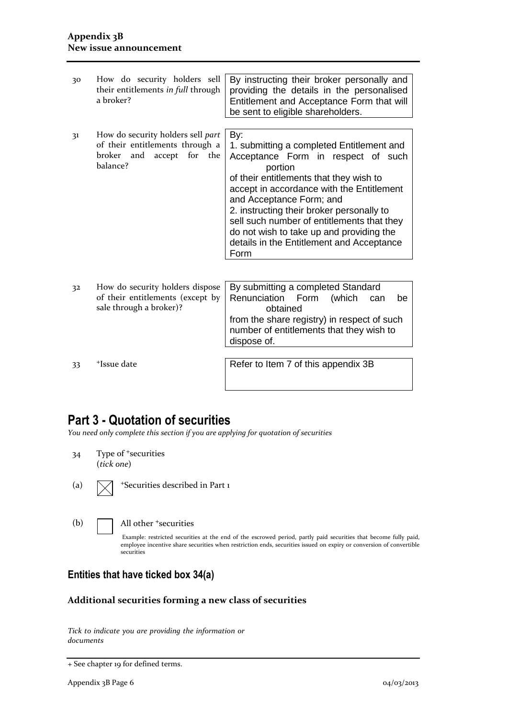| 30 | How do security holders sell<br>their entitlements in full through<br>a broker?                                  | By instructing their broker personally and<br>providing the details in the personalised<br>Entitlement and Acceptance Form that will<br>be sent to eligible shareholders.                                                                                                                                                                                                                                         |  |
|----|------------------------------------------------------------------------------------------------------------------|-------------------------------------------------------------------------------------------------------------------------------------------------------------------------------------------------------------------------------------------------------------------------------------------------------------------------------------------------------------------------------------------------------------------|--|
| 31 | How do security holders sell part<br>of their entitlements through a<br>and accept for the<br>broker<br>balance? | By:<br>1. submitting a completed Entitlement and<br>Acceptance Form in respect of such<br>portion<br>of their entitlements that they wish to<br>accept in accordance with the Entitlement<br>and Acceptance Form; and<br>2. instructing their broker personally to<br>sell such number of entitlements that they<br>do not wish to take up and providing the<br>details in the Entitlement and Acceptance<br>Form |  |
| 32 | How do security holders dispose<br>of their entitlements (except by<br>sale through a broker)?                   | By submitting a completed Standard<br>Renunciation<br>Form<br>(which<br>be<br>can<br>obtained<br>from the share registry) in respect of such<br>number of entitlements that they wish to<br>dispose of.                                                                                                                                                                                                           |  |
| 33 | <sup>+</sup> Issue date                                                                                          | Refer to Item 7 of this appendix 3B                                                                                                                                                                                                                                                                                                                                                                               |  |

### **Part 3 - Quotation of securities**

*You need only complete this section if you are applying for quotation of securities*

- 34 Type of <sup>+</sup>securities (*tick one*)
- 

(a)  $\sqrt{\phantom{a}}$  +Securities described in Part 1

(b) **All other +securities** 

Example: restricted securities at the end of the escrowed period, partly paid securities that become fully paid, employee incentive share securities when restriction ends, securities issued on expiry or conversion of convertible securities

#### **Entities that have ticked box 34(a)**

#### **Additional securities forming a new class of securities**

*Tick to indicate you are providing the information or documents*

<sup>+</sup> See chapter 19 for defined terms.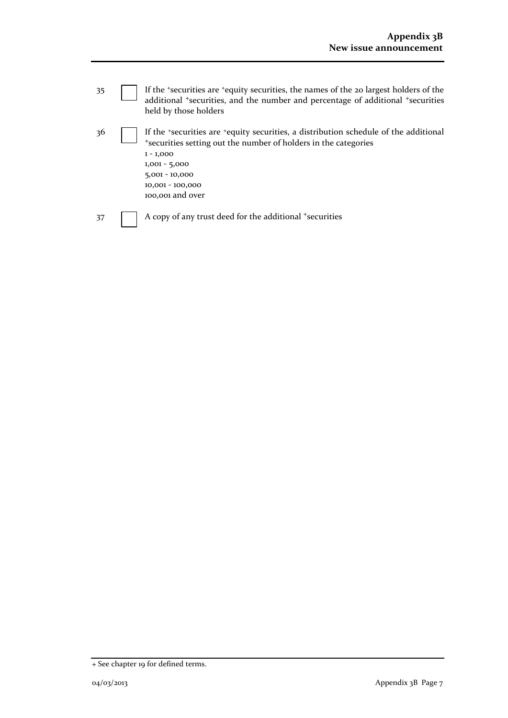| 35 | If the 'securities are 'equity securities, the names of the 20 largest holders of the<br>additional *securities, and the number and percentage of additional *securities<br>held by those holders                                                     |
|----|-------------------------------------------------------------------------------------------------------------------------------------------------------------------------------------------------------------------------------------------------------|
| 36 | If the 'securities are 'equity securities, a distribution schedule of the additional<br>*securities setting out the number of holders in the categories<br>$1 - 1,000$<br>$1,001 - 5,000$<br>$5,001 - 10,000$<br>10,001 - 100,000<br>100,001 and over |
| 37 | A copy of any trust deed for the additional +securities                                                                                                                                                                                               |

<sup>+</sup> See chapter 19 for defined terms.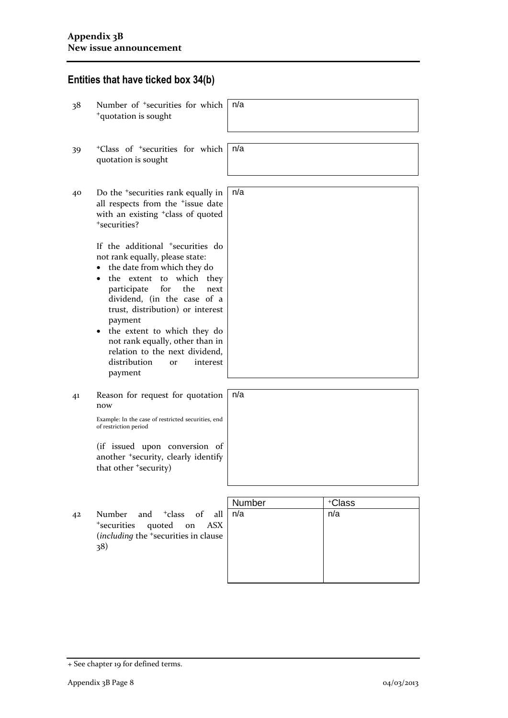# **Entities that have ticked box 34(b)**

| 38 | Number of <sup>+</sup> securities for which<br><sup>+</sup> quotation is sought                                                                                                                                                                                                                                                                                                                                                          | n/a    |               |
|----|------------------------------------------------------------------------------------------------------------------------------------------------------------------------------------------------------------------------------------------------------------------------------------------------------------------------------------------------------------------------------------------------------------------------------------------|--------|---------------|
| 39 | <sup>+</sup> Class of <sup>+</sup> securities for which<br>quotation is sought                                                                                                                                                                                                                                                                                                                                                           | n/a    |               |
| 40 | Do the <sup>+</sup> securities rank equally in<br>all respects from the <sup>+</sup> issue date<br>with an existing <sup>+</sup> class of quoted<br>*securities?                                                                                                                                                                                                                                                                         | n/a    |               |
|    | If the additional <sup>+</sup> securities do<br>not rank equally, please state:<br>the date from which they do<br>which they<br>the<br>extent to<br>for<br>the<br>participate<br>next<br>dividend, (in the case of a<br>trust, distribution) or interest<br>payment<br>the extent to which they do<br>$\bullet$<br>not rank equally, other than in<br>relation to the next dividend,<br>distribution<br>interest<br><b>Or</b><br>payment |        |               |
| 41 | Reason for request for quotation<br>now<br>Example: In the case of restricted securities, end<br>of restriction period                                                                                                                                                                                                                                                                                                                   | n/a    |               |
|    | (if issued upon conversion of<br>another <sup>+</sup> security, clearly identify<br>that other +security)                                                                                                                                                                                                                                                                                                                                |        |               |
|    |                                                                                                                                                                                                                                                                                                                                                                                                                                          | Number |               |
| 42 | and <sup>+</sup> class<br>Number<br>$\sigma$ f<br>all<br>$^{\mathrm{+}}$ securities<br>quoted on<br><b>ASX</b><br>(including the <sup>+</sup> securities in clause<br>38)                                                                                                                                                                                                                                                                | n/a    | +Class<br>n/a |

<sup>+</sup> See chapter 19 for defined terms.